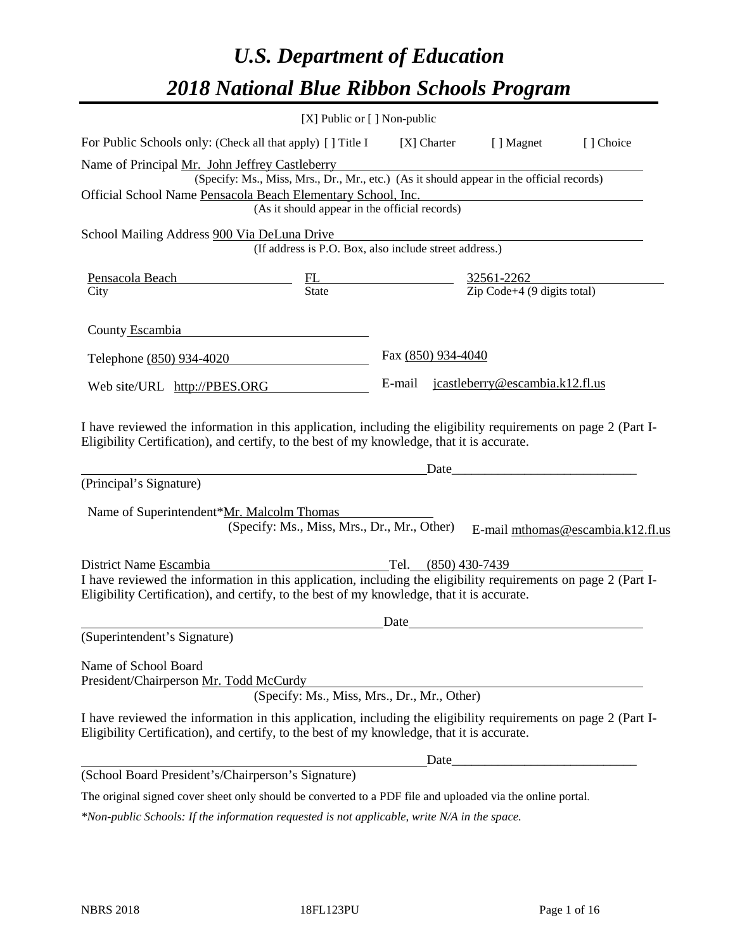# *U.S. Department of Education 2018 National Blue Ribbon Schools Program*

|                                                                                                                                                                                                              | [X] Public or [] Non-public                                                                                                               |                     |                                 |                                   |
|--------------------------------------------------------------------------------------------------------------------------------------------------------------------------------------------------------------|-------------------------------------------------------------------------------------------------------------------------------------------|---------------------|---------------------------------|-----------------------------------|
| For Public Schools only: (Check all that apply) [] Title I                                                                                                                                                   |                                                                                                                                           | [X] Charter         | [ ] Magnet                      | [] Choice                         |
| Name of Principal Mr. John Jeffrey Castleberry<br>Official School Name Pensacola Beach Elementary School, Inc.                                                                                               | (Specify: Ms., Miss, Mrs., Dr., Mr., etc.) (As it should appear in the official records)<br>(As it should appear in the official records) |                     |                                 |                                   |
| School Mailing Address 900 Via DeLuna Drive                                                                                                                                                                  | (If address is P.O. Box, also include street address.)                                                                                    |                     |                                 |                                   |
| Pensacola Beach<br>City $\frac{\text{PL}}{\text{State}}$ $\frac{32561-2262}{\text{Zip Code}+4 (9 \text{ digits total})}$                                                                                     |                                                                                                                                           |                     |                                 |                                   |
| County Escambia                                                                                                                                                                                              |                                                                                                                                           |                     |                                 |                                   |
| Telephone (850) 934-4020                                                                                                                                                                                     |                                                                                                                                           | Fax (850) 934-4040  |                                 |                                   |
| Web site/URL http://PBES.ORG                                                                                                                                                                                 |                                                                                                                                           | E-mail              | jcastleberry@escambia.k12.fl.us |                                   |
| I have reviewed the information in this application, including the eligibility requirements on page 2 (Part I-<br>Eligibility Certification), and certify, to the best of my knowledge, that it is accurate. |                                                                                                                                           |                     |                                 |                                   |
| (Principal's Signature)                                                                                                                                                                                      |                                                                                                                                           |                     | Date                            |                                   |
| Name of Superintendent*Mr. Malcolm Thomas                                                                                                                                                                    | (Specify: Ms., Miss, Mrs., Dr., Mr., Other)                                                                                               |                     |                                 | E-mail mthomas@escambia.k12.fl.us |
| District Name Escambia                                                                                                                                                                                       |                                                                                                                                           | Tel. (850) 430-7439 |                                 |                                   |
| I have reviewed the information in this application, including the eligibility requirements on page 2 (Part I-<br>Eligibility Certification), and certify, to the best of my knowledge, that it is accurate. |                                                                                                                                           |                     |                                 |                                   |
|                                                                                                                                                                                                              |                                                                                                                                           | Date                |                                 |                                   |
| (Superintendent's Signature)                                                                                                                                                                                 |                                                                                                                                           |                     |                                 |                                   |
| Name of School Board<br>President/Chairperson Mr. Todd McCurdy                                                                                                                                               | (Specify: Ms., Miss, Mrs., Dr., Mr., Other)                                                                                               |                     |                                 |                                   |
| I have reviewed the information in this application, including the eligibility requirements on page 2 (Part I-<br>Eligibility Certification), and certify, to the best of my knowledge, that it is accurate. |                                                                                                                                           |                     |                                 |                                   |
|                                                                                                                                                                                                              |                                                                                                                                           |                     | $\text{Date}$                   |                                   |
| (School Board President's/Chairperson's Signature)                                                                                                                                                           |                                                                                                                                           |                     |                                 |                                   |
| The original signed cover sheet only should be converted to a PDF file and uploaded via the online portal.                                                                                                   |                                                                                                                                           |                     |                                 |                                   |

*\*Non-public Schools: If the information requested is not applicable, write N/A in the space.*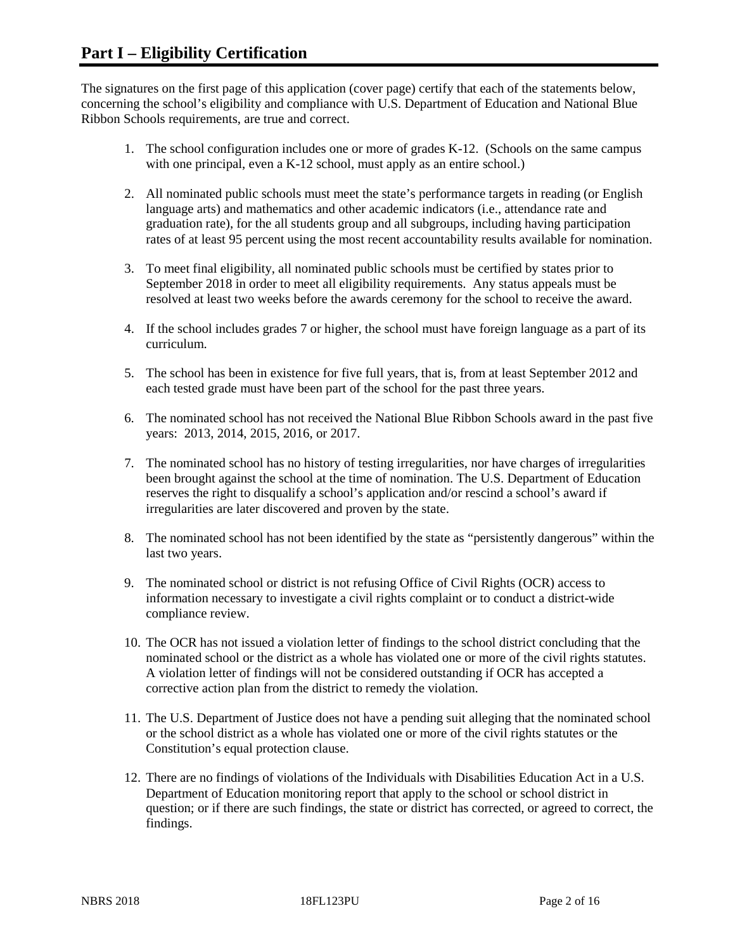The signatures on the first page of this application (cover page) certify that each of the statements below, concerning the school's eligibility and compliance with U.S. Department of Education and National Blue Ribbon Schools requirements, are true and correct.

- 1. The school configuration includes one or more of grades K-12. (Schools on the same campus with one principal, even a K-12 school, must apply as an entire school.)
- 2. All nominated public schools must meet the state's performance targets in reading (or English language arts) and mathematics and other academic indicators (i.e., attendance rate and graduation rate), for the all students group and all subgroups, including having participation rates of at least 95 percent using the most recent accountability results available for nomination.
- 3. To meet final eligibility, all nominated public schools must be certified by states prior to September 2018 in order to meet all eligibility requirements. Any status appeals must be resolved at least two weeks before the awards ceremony for the school to receive the award.
- 4. If the school includes grades 7 or higher, the school must have foreign language as a part of its curriculum.
- 5. The school has been in existence for five full years, that is, from at least September 2012 and each tested grade must have been part of the school for the past three years.
- 6. The nominated school has not received the National Blue Ribbon Schools award in the past five years: 2013, 2014, 2015, 2016, or 2017.
- 7. The nominated school has no history of testing irregularities, nor have charges of irregularities been brought against the school at the time of nomination. The U.S. Department of Education reserves the right to disqualify a school's application and/or rescind a school's award if irregularities are later discovered and proven by the state.
- 8. The nominated school has not been identified by the state as "persistently dangerous" within the last two years.
- 9. The nominated school or district is not refusing Office of Civil Rights (OCR) access to information necessary to investigate a civil rights complaint or to conduct a district-wide compliance review.
- 10. The OCR has not issued a violation letter of findings to the school district concluding that the nominated school or the district as a whole has violated one or more of the civil rights statutes. A violation letter of findings will not be considered outstanding if OCR has accepted a corrective action plan from the district to remedy the violation.
- 11. The U.S. Department of Justice does not have a pending suit alleging that the nominated school or the school district as a whole has violated one or more of the civil rights statutes or the Constitution's equal protection clause.
- 12. There are no findings of violations of the Individuals with Disabilities Education Act in a U.S. Department of Education monitoring report that apply to the school or school district in question; or if there are such findings, the state or district has corrected, or agreed to correct, the findings.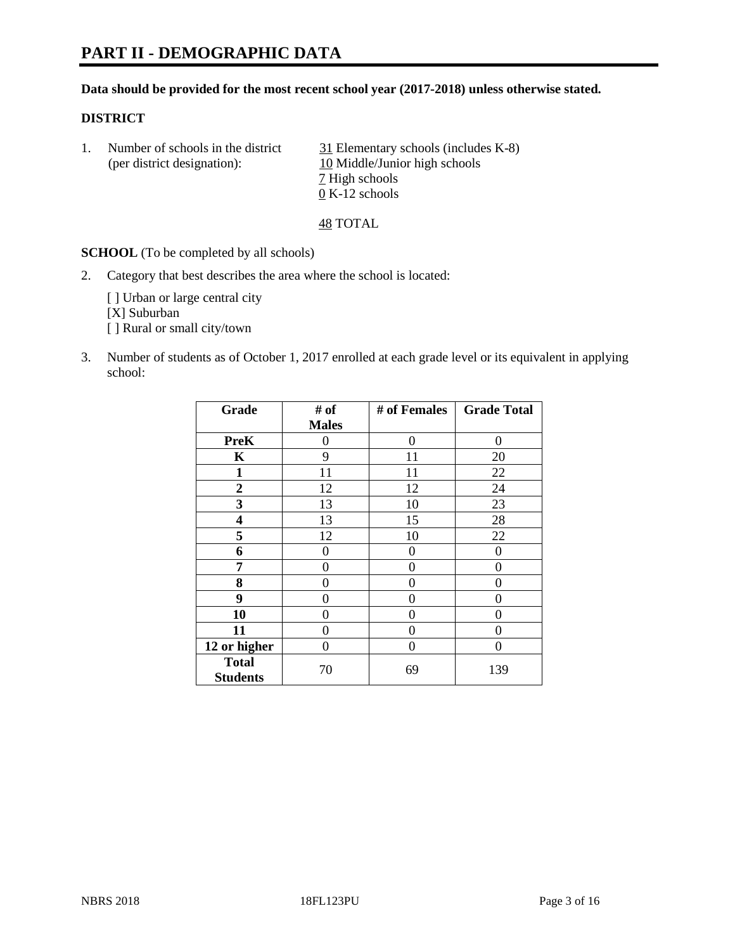# **PART II - DEMOGRAPHIC DATA**

#### **Data should be provided for the most recent school year (2017-2018) unless otherwise stated.**

#### **DISTRICT**

1. Number of schools in the district  $\frac{31}{21}$  Elementary schools (includes K-8) (per district designation): 10 Middle/Junior high schools 7 High schools 0 K-12 schools

48 TOTAL

**SCHOOL** (To be completed by all schools)

2. Category that best describes the area where the school is located:

[] Urban or large central city [X] Suburban [] Rural or small city/town

3. Number of students as of October 1, 2017 enrolled at each grade level or its equivalent in applying school:

| Grade                           | # of         | # of Females | <b>Grade Total</b> |
|---------------------------------|--------------|--------------|--------------------|
|                                 | <b>Males</b> |              |                    |
| <b>PreK</b>                     | 0            | 0            | 0                  |
| $\mathbf K$                     | 9            | 11           | 20                 |
| $\mathbf{1}$                    | 11           | 11           | 22                 |
| 2                               | 12           | 12           | 24                 |
| 3                               | 13           | 10           | 23                 |
| 4                               | 13           | 15           | 28                 |
| 5                               | 12           | 10           | 22                 |
| 6                               | 0            | 0            | 0                  |
| 7                               | 0            | 0            | 0                  |
| 8                               | 0            | 0            | 0                  |
| 9                               | 0            | 0            | 0                  |
| 10                              | 0            | 0            | 0                  |
| 11                              | 0            | 0            | 0                  |
| 12 or higher                    | 0            | 0            | 0                  |
| <b>Total</b><br><b>Students</b> | 70           | 69           | 139                |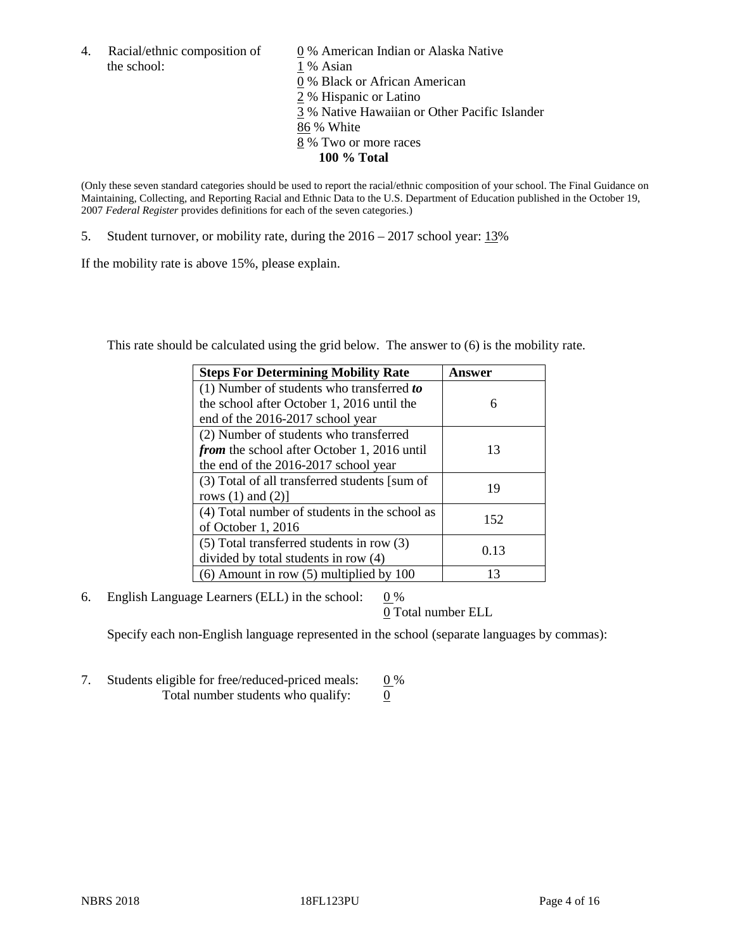the school: 1 % Asian

4. Racial/ethnic composition of  $\qquad 0\%$  American Indian or Alaska Native 0 % Black or African American 2 % Hispanic or Latino 3 % Native Hawaiian or Other Pacific Islander 86 % White 8 % Two or more races **100 % Total**

(Only these seven standard categories should be used to report the racial/ethnic composition of your school. The Final Guidance on Maintaining, Collecting, and Reporting Racial and Ethnic Data to the U.S. Department of Education published in the October 19, 2007 *Federal Register* provides definitions for each of the seven categories.)

5. Student turnover, or mobility rate, during the 2016 – 2017 school year: 13%

If the mobility rate is above 15%, please explain.

This rate should be calculated using the grid below. The answer to (6) is the mobility rate.

| <b>Steps For Determining Mobility Rate</b>         | Answer |
|----------------------------------------------------|--------|
| $(1)$ Number of students who transferred to        |        |
| the school after October 1, 2016 until the         | 6      |
| end of the 2016-2017 school year                   |        |
| (2) Number of students who transferred             |        |
| <i>from</i> the school after October 1, 2016 until | 13     |
| the end of the 2016-2017 school year               |        |
| (3) Total of all transferred students [sum of      | 19     |
| rows $(1)$ and $(2)$ ]                             |        |
| (4) Total number of students in the school as      |        |
| of October 1, 2016                                 | 152    |
| (5) Total transferred students in row (3)          |        |
| divided by total students in row (4)               | 0.13   |
| $(6)$ Amount in row $(5)$ multiplied by 100        | 13     |

6. English Language Learners (ELL) in the school:  $0\%$ 

0 Total number ELL

Specify each non-English language represented in the school (separate languages by commas):

7. Students eligible for free/reduced-priced meals:  $0\%$ Total number students who qualify:  $\qquad 0$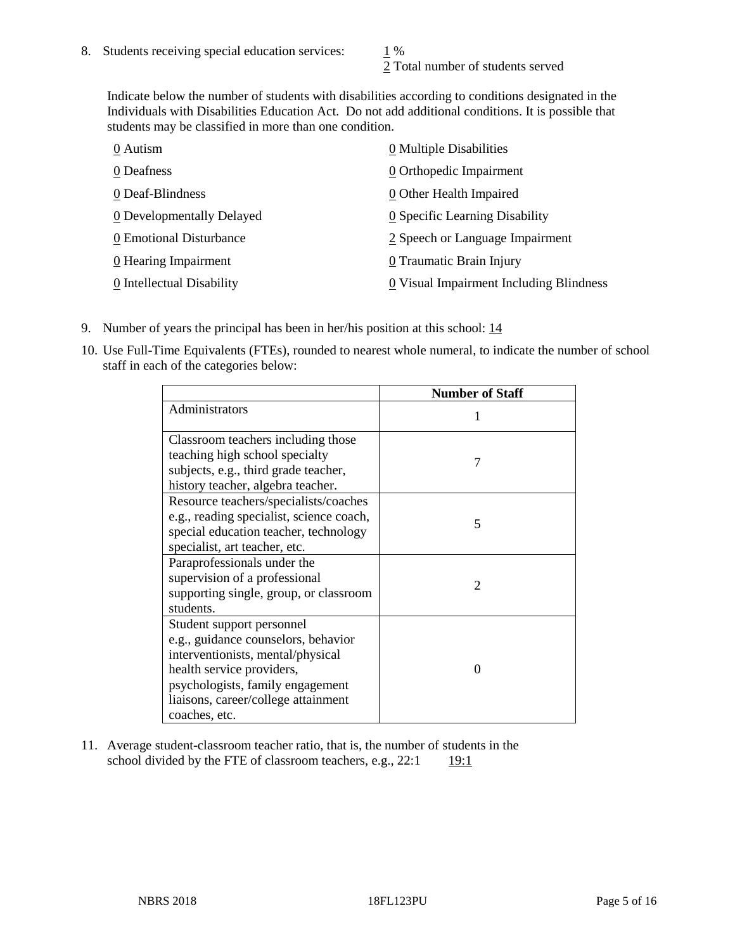2 Total number of students served

Indicate below the number of students with disabilities according to conditions designated in the Individuals with Disabilities Education Act. Do not add additional conditions. It is possible that students may be classified in more than one condition.

| 0 Autism                         | 0 Multiple Disabilities                 |
|----------------------------------|-----------------------------------------|
| 0 Deafness                       | 0 Orthopedic Impairment                 |
| 0 Deaf-Blindness                 | 0 Other Health Impaired                 |
| <b>0</b> Developmentally Delayed | 0 Specific Learning Disability          |
| 0 Emotional Disturbance          | 2 Speech or Language Impairment         |
| 0 Hearing Impairment             | 0 Traumatic Brain Injury                |
| 0 Intellectual Disability        | 0 Visual Impairment Including Blindness |

- 9. Number of years the principal has been in her/his position at this school: 14
- 10. Use Full-Time Equivalents (FTEs), rounded to nearest whole numeral, to indicate the number of school staff in each of the categories below:

|                                                                                                                                                                                                                                | <b>Number of Staff</b>      |
|--------------------------------------------------------------------------------------------------------------------------------------------------------------------------------------------------------------------------------|-----------------------------|
| Administrators                                                                                                                                                                                                                 |                             |
| Classroom teachers including those<br>teaching high school specialty<br>subjects, e.g., third grade teacher,<br>history teacher, algebra teacher.                                                                              | 7                           |
| Resource teachers/specialists/coaches<br>e.g., reading specialist, science coach,<br>special education teacher, technology<br>specialist, art teacher, etc.                                                                    | 5                           |
| Paraprofessionals under the<br>supervision of a professional<br>supporting single, group, or classroom<br>students.                                                                                                            | $\mathcal{D}_{\mathcal{L}}$ |
| Student support personnel<br>e.g., guidance counselors, behavior<br>interventionists, mental/physical<br>health service providers,<br>psychologists, family engagement<br>liaisons, career/college attainment<br>coaches, etc. | $\Omega$                    |

11. Average student-classroom teacher ratio, that is, the number of students in the school divided by the FTE of classroom teachers, e.g.,  $22:1$  19:1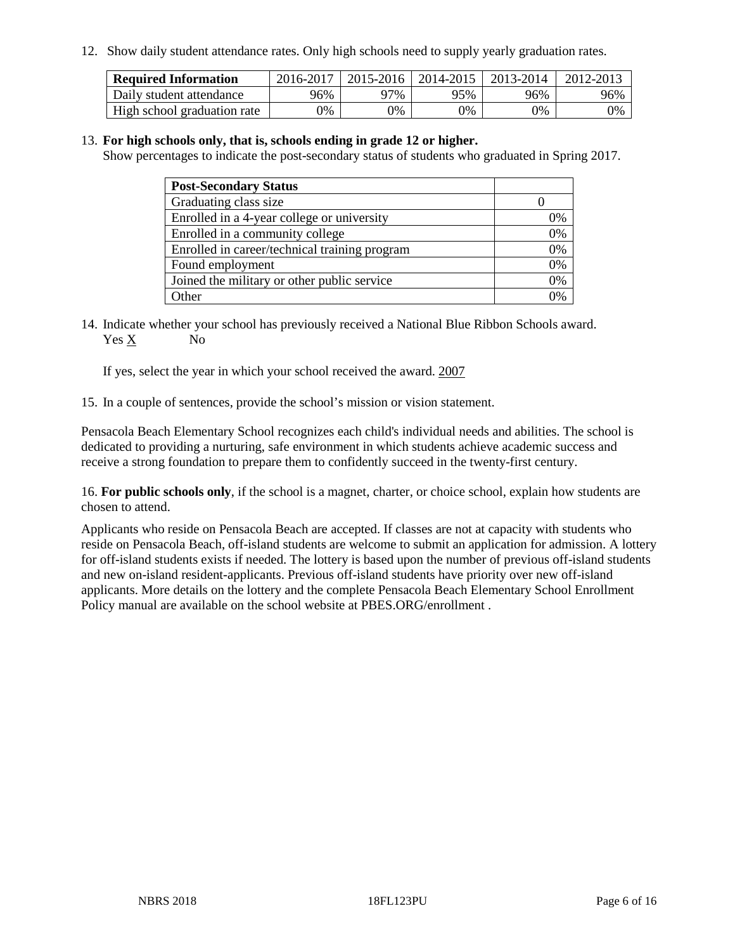12. Show daily student attendance rates. Only high schools need to supply yearly graduation rates.

| <b>Required Information</b> | 2016-2017 | $2015 - 2016$ | 2014-2015 | 2013-2014 | 2012-2013 |
|-----------------------------|-----------|---------------|-----------|-----------|-----------|
| Daily student attendance    | 96%       | 97%           | 95%       | 96%       | 96%       |
| High school graduation rate | 0%        | 0%            | 0%        | 9%        | 0%        |

#### 13. **For high schools only, that is, schools ending in grade 12 or higher.**

Show percentages to indicate the post-secondary status of students who graduated in Spring 2017.

| <b>Post-Secondary Status</b>                  |              |
|-----------------------------------------------|--------------|
| Graduating class size                         |              |
| Enrolled in a 4-year college or university    | 0%           |
| Enrolled in a community college               | 0%           |
| Enrolled in career/technical training program | 0%           |
| Found employment                              | 0%           |
| Joined the military or other public service   | 0%           |
| Other                                         | $\gamma_{0}$ |

14. Indicate whether your school has previously received a National Blue Ribbon Schools award. Yes X No

If yes, select the year in which your school received the award. 2007

15. In a couple of sentences, provide the school's mission or vision statement.

Pensacola Beach Elementary School recognizes each child's individual needs and abilities. The school is dedicated to providing a nurturing, safe environment in which students achieve academic success and receive a strong foundation to prepare them to confidently succeed in the twenty-first century.

16. **For public schools only**, if the school is a magnet, charter, or choice school, explain how students are chosen to attend.

Applicants who reside on Pensacola Beach are accepted. If classes are not at capacity with students who reside on Pensacola Beach, off-island students are welcome to submit an application for admission. A lottery for off-island students exists if needed. The lottery is based upon the number of previous off-island students and new on-island resident-applicants. Previous off-island students have priority over new off-island applicants. More details on the lottery and the complete Pensacola Beach Elementary School Enrollment Policy manual are available on the school website at PBES.ORG/enrollment .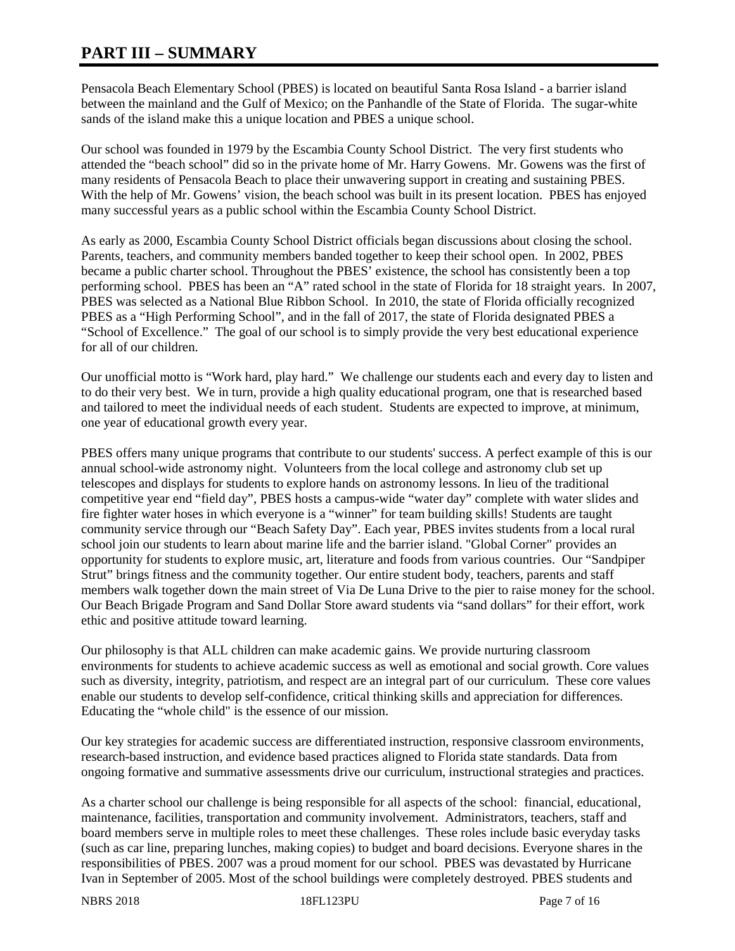# **PART III – SUMMARY**

Pensacola Beach Elementary School (PBES) is located on beautiful Santa Rosa Island - a barrier island between the mainland and the Gulf of Mexico; on the Panhandle of the State of Florida. The sugar-white sands of the island make this a unique location and PBES a unique school.

Our school was founded in 1979 by the Escambia County School District. The very first students who attended the "beach school" did so in the private home of Mr. Harry Gowens. Mr. Gowens was the first of many residents of Pensacola Beach to place their unwavering support in creating and sustaining PBES. With the help of Mr. Gowens' vision, the beach school was built in its present location. PBES has enjoyed many successful years as a public school within the Escambia County School District.

As early as 2000, Escambia County School District officials began discussions about closing the school. Parents, teachers, and community members banded together to keep their school open. In 2002, PBES became a public charter school. Throughout the PBES' existence, the school has consistently been a top performing school. PBES has been an "A" rated school in the state of Florida for 18 straight years. In 2007, PBES was selected as a National Blue Ribbon School. In 2010, the state of Florida officially recognized PBES as a "High Performing School", and in the fall of 2017, the state of Florida designated PBES a "School of Excellence." The goal of our school is to simply provide the very best educational experience for all of our children.

Our unofficial motto is "Work hard, play hard." We challenge our students each and every day to listen and to do their very best. We in turn, provide a high quality educational program, one that is researched based and tailored to meet the individual needs of each student. Students are expected to improve, at minimum, one year of educational growth every year.

PBES offers many unique programs that contribute to our students' success. A perfect example of this is our annual school-wide astronomy night. Volunteers from the local college and astronomy club set up telescopes and displays for students to explore hands on astronomy lessons. In lieu of the traditional competitive year end "field day", PBES hosts a campus-wide "water day" complete with water slides and fire fighter water hoses in which everyone is a "winner" for team building skills! Students are taught community service through our "Beach Safety Day". Each year, PBES invites students from a local rural school join our students to learn about marine life and the barrier island. "Global Corner" provides an opportunity for students to explore music, art, literature and foods from various countries. Our "Sandpiper Strut" brings fitness and the community together. Our entire student body, teachers, parents and staff members walk together down the main street of Via De Luna Drive to the pier to raise money for the school. Our Beach Brigade Program and Sand Dollar Store award students via "sand dollars" for their effort, work ethic and positive attitude toward learning.

Our philosophy is that ALL children can make academic gains. We provide nurturing classroom environments for students to achieve academic success as well as emotional and social growth. Core values such as diversity, integrity, patriotism, and respect are an integral part of our curriculum. These core values enable our students to develop self-confidence, critical thinking skills and appreciation for differences. Educating the "whole child" is the essence of our mission.

Our key strategies for academic success are differentiated instruction, responsive classroom environments, research-based instruction, and evidence based practices aligned to Florida state standards. Data from ongoing formative and summative assessments drive our curriculum, instructional strategies and practices.

As a charter school our challenge is being responsible for all aspects of the school: financial, educational, maintenance, facilities, transportation and community involvement. Administrators, teachers, staff and board members serve in multiple roles to meet these challenges. These roles include basic everyday tasks (such as car line, preparing lunches, making copies) to budget and board decisions. Everyone shares in the responsibilities of PBES. 2007 was a proud moment for our school. PBES was devastated by Hurricane Ivan in September of 2005. Most of the school buildings were completely destroyed. PBES students and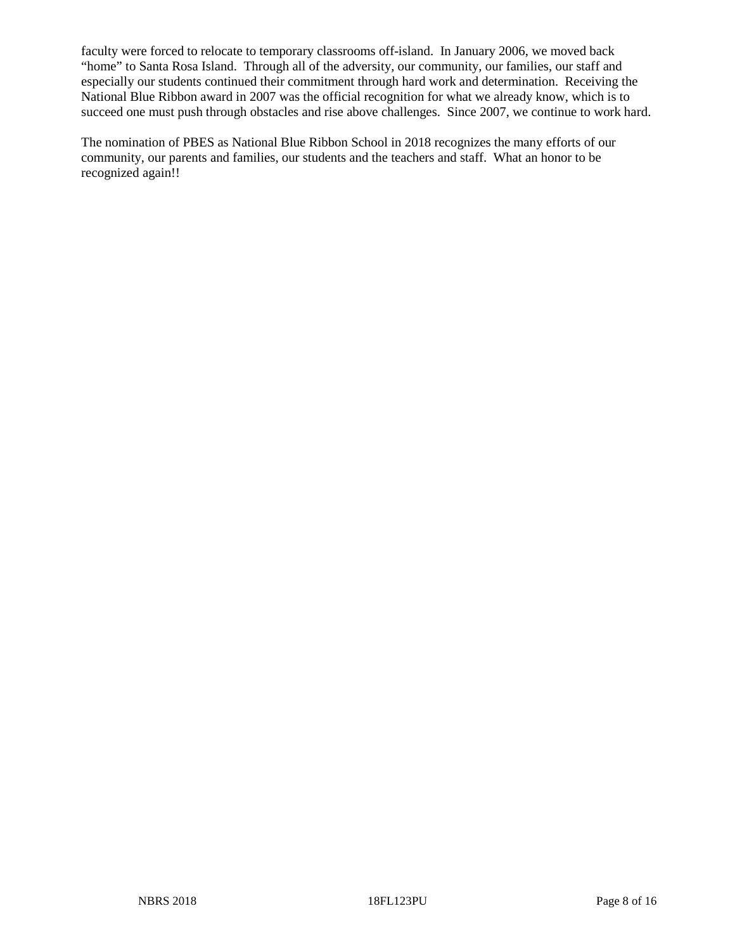faculty were forced to relocate to temporary classrooms off-island. In January 2006, we moved back "home" to Santa Rosa Island. Through all of the adversity, our community, our families, our staff and especially our students continued their commitment through hard work and determination. Receiving the National Blue Ribbon award in 2007 was the official recognition for what we already know, which is to succeed one must push through obstacles and rise above challenges. Since 2007, we continue to work hard.

The nomination of PBES as National Blue Ribbon School in 2018 recognizes the many efforts of our community, our parents and families, our students and the teachers and staff. What an honor to be recognized again!!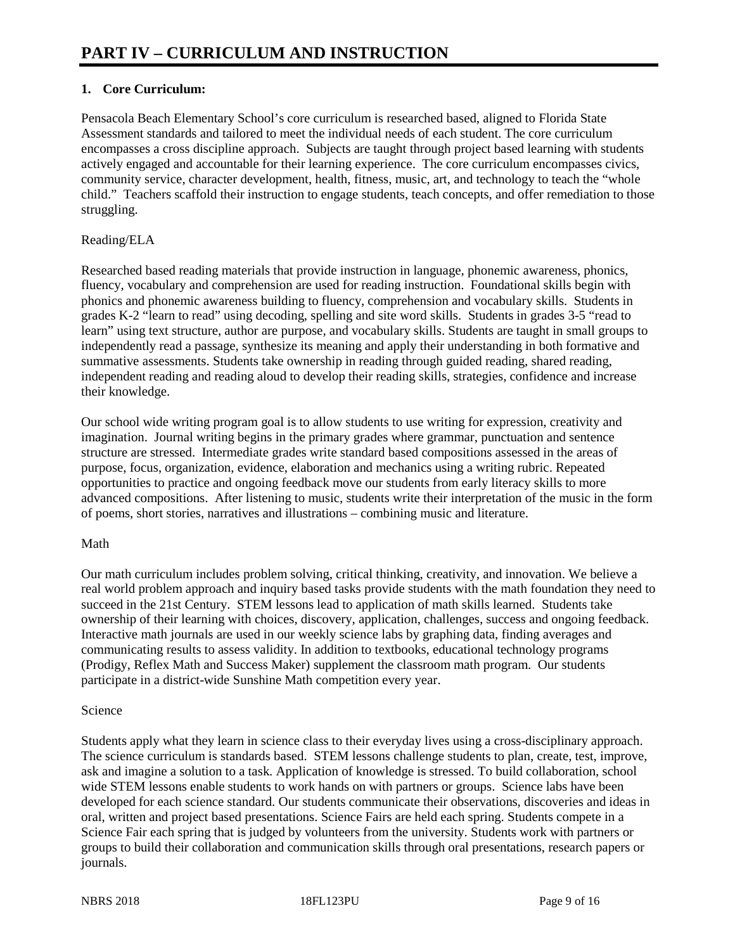## **1. Core Curriculum:**

Pensacola Beach Elementary School's core curriculum is researched based, aligned to Florida State Assessment standards and tailored to meet the individual needs of each student. The core curriculum encompasses a cross discipline approach. Subjects are taught through project based learning with students actively engaged and accountable for their learning experience. The core curriculum encompasses civics, community service, character development, health, fitness, music, art, and technology to teach the "whole child." Teachers scaffold their instruction to engage students, teach concepts, and offer remediation to those struggling.

#### Reading/ELA

Researched based reading materials that provide instruction in language, phonemic awareness, phonics, fluency, vocabulary and comprehension are used for reading instruction. Foundational skills begin with phonics and phonemic awareness building to fluency, comprehension and vocabulary skills. Students in grades K-2 "learn to read" using decoding, spelling and site word skills. Students in grades 3-5 "read to learn" using text structure, author are purpose, and vocabulary skills. Students are taught in small groups to independently read a passage, synthesize its meaning and apply their understanding in both formative and summative assessments. Students take ownership in reading through guided reading, shared reading, independent reading and reading aloud to develop their reading skills, strategies, confidence and increase their knowledge.

Our school wide writing program goal is to allow students to use writing for expression, creativity and imagination. Journal writing begins in the primary grades where grammar, punctuation and sentence structure are stressed. Intermediate grades write standard based compositions assessed in the areas of purpose, focus, organization, evidence, elaboration and mechanics using a writing rubric. Repeated opportunities to practice and ongoing feedback move our students from early literacy skills to more advanced compositions. After listening to music, students write their interpretation of the music in the form of poems, short stories, narratives and illustrations – combining music and literature.

#### Math

Our math curriculum includes problem solving, critical thinking, creativity, and innovation. We believe a real world problem approach and inquiry based tasks provide students with the math foundation they need to succeed in the 21st Century. STEM lessons lead to application of math skills learned. Students take ownership of their learning with choices, discovery, application, challenges, success and ongoing feedback. Interactive math journals are used in our weekly science labs by graphing data, finding averages and communicating results to assess validity. In addition to textbooks, educational technology programs (Prodigy, Reflex Math and Success Maker) supplement the classroom math program. Our students participate in a district-wide Sunshine Math competition every year.

#### Science

Students apply what they learn in science class to their everyday lives using a cross-disciplinary approach. The science curriculum is standards based. STEM lessons challenge students to plan, create, test, improve, ask and imagine a solution to a task. Application of knowledge is stressed. To build collaboration, school wide STEM lessons enable students to work hands on with partners or groups. Science labs have been developed for each science standard. Our students communicate their observations, discoveries and ideas in oral, written and project based presentations. Science Fairs are held each spring. Students compete in a Science Fair each spring that is judged by volunteers from the university. Students work with partners or groups to build their collaboration and communication skills through oral presentations, research papers or journals.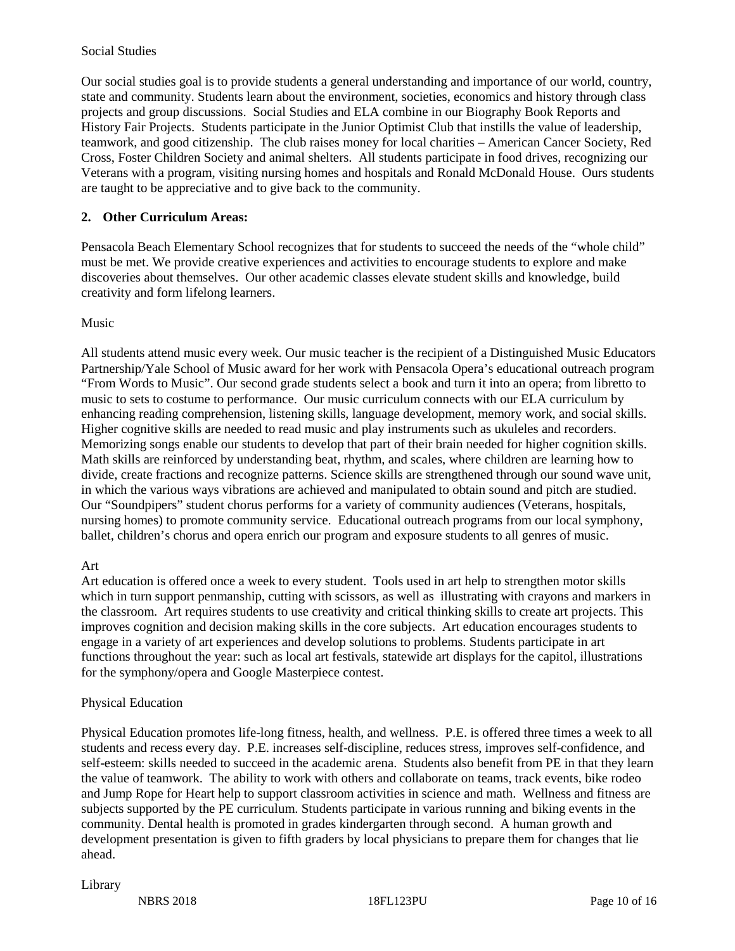#### Social Studies

Our social studies goal is to provide students a general understanding and importance of our world, country, state and community. Students learn about the environment, societies, economics and history through class projects and group discussions. Social Studies and ELA combine in our Biography Book Reports and History Fair Projects. Students participate in the Junior Optimist Club that instills the value of leadership, teamwork, and good citizenship. The club raises money for local charities – American Cancer Society, Red Cross, Foster Children Society and animal shelters. All students participate in food drives, recognizing our Veterans with a program, visiting nursing homes and hospitals and Ronald McDonald House. Ours students are taught to be appreciative and to give back to the community.

#### **2. Other Curriculum Areas:**

Pensacola Beach Elementary School recognizes that for students to succeed the needs of the "whole child" must be met. We provide creative experiences and activities to encourage students to explore and make discoveries about themselves. Our other academic classes elevate student skills and knowledge, build creativity and form lifelong learners.

#### Music

All students attend music every week. Our music teacher is the recipient of a Distinguished Music Educators Partnership/Yale School of Music award for her work with Pensacola Opera's educational outreach program "From Words to Music". Our second grade students select a book and turn it into an opera; from libretto to music to sets to costume to performance. Our music curriculum connects with our ELA curriculum by enhancing reading comprehension, listening skills, language development, memory work, and social skills. Higher cognitive skills are needed to read music and play instruments such as ukuleles and recorders. Memorizing songs enable our students to develop that part of their brain needed for higher cognition skills. Math skills are reinforced by understanding beat, rhythm, and scales, where children are learning how to divide, create fractions and recognize patterns. Science skills are strengthened through our sound wave unit, in which the various ways vibrations are achieved and manipulated to obtain sound and pitch are studied. Our "Soundpipers" student chorus performs for a variety of community audiences (Veterans, hospitals, nursing homes) to promote community service. Educational outreach programs from our local symphony, ballet, children's chorus and opera enrich our program and exposure students to all genres of music.

#### Art

Art education is offered once a week to every student. Tools used in art help to strengthen motor skills which in turn support penmanship, cutting with scissors, as well as illustrating with crayons and markers in the classroom. Art requires students to use creativity and critical thinking skills to create art projects. This improves cognition and decision making skills in the core subjects. Art education encourages students to engage in a variety of art experiences and develop solutions to problems. Students participate in art functions throughout the year: such as local art festivals, statewide art displays for the capitol, illustrations for the symphony/opera and Google Masterpiece contest.

#### Physical Education

Physical Education promotes life-long fitness, health, and wellness. P.E. is offered three times a week to all students and recess every day. P.E. increases self-discipline, reduces stress, improves self-confidence, and self-esteem: skills needed to succeed in the academic arena. Students also benefit from PE in that they learn the value of teamwork. The ability to work with others and collaborate on teams, track events, bike rodeo and Jump Rope for Heart help to support classroom activities in science and math. Wellness and fitness are subjects supported by the PE curriculum. Students participate in various running and biking events in the community. Dental health is promoted in grades kindergarten through second. A human growth and development presentation is given to fifth graders by local physicians to prepare them for changes that lie ahead.

#### Library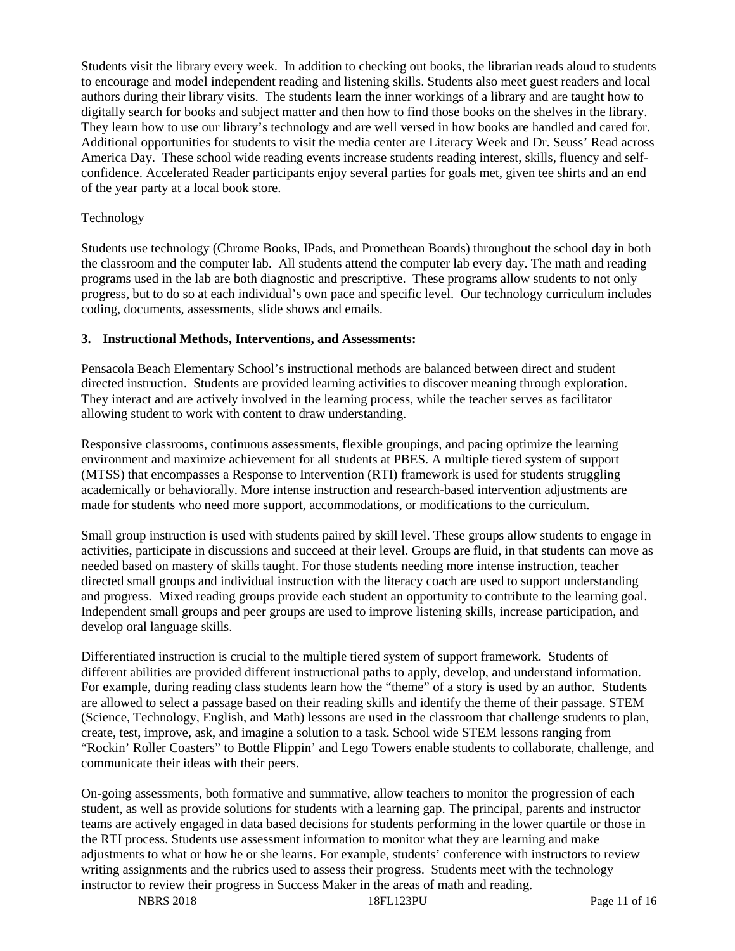Students visit the library every week. In addition to checking out books, the librarian reads aloud to students to encourage and model independent reading and listening skills. Students also meet guest readers and local authors during their library visits. The students learn the inner workings of a library and are taught how to digitally search for books and subject matter and then how to find those books on the shelves in the library. They learn how to use our library's technology and are well versed in how books are handled and cared for. Additional opportunities for students to visit the media center are Literacy Week and Dr. Seuss' Read across America Day. These school wide reading events increase students reading interest, skills, fluency and selfconfidence. Accelerated Reader participants enjoy several parties for goals met, given tee shirts and an end of the year party at a local book store.

#### Technology

Students use technology (Chrome Books, IPads, and Promethean Boards) throughout the school day in both the classroom and the computer lab. All students attend the computer lab every day. The math and reading programs used in the lab are both diagnostic and prescriptive. These programs allow students to not only progress, but to do so at each individual's own pace and specific level. Our technology curriculum includes coding, documents, assessments, slide shows and emails.

#### **3. Instructional Methods, Interventions, and Assessments:**

Pensacola Beach Elementary School's instructional methods are balanced between direct and student directed instruction. Students are provided learning activities to discover meaning through exploration. They interact and are actively involved in the learning process, while the teacher serves as facilitator allowing student to work with content to draw understanding.

Responsive classrooms, continuous assessments, flexible groupings, and pacing optimize the learning environment and maximize achievement for all students at PBES. A multiple tiered system of support (MTSS) that encompasses a Response to Intervention (RTI) framework is used for students struggling academically or behaviorally. More intense instruction and research-based intervention adjustments are made for students who need more support, accommodations, or modifications to the curriculum.

Small group instruction is used with students paired by skill level. These groups allow students to engage in activities, participate in discussions and succeed at their level. Groups are fluid, in that students can move as needed based on mastery of skills taught. For those students needing more intense instruction, teacher directed small groups and individual instruction with the literacy coach are used to support understanding and progress. Mixed reading groups provide each student an opportunity to contribute to the learning goal. Independent small groups and peer groups are used to improve listening skills, increase participation, and develop oral language skills.

Differentiated instruction is crucial to the multiple tiered system of support framework. Students of different abilities are provided different instructional paths to apply, develop, and understand information. For example, during reading class students learn how the "theme" of a story is used by an author. Students are allowed to select a passage based on their reading skills and identify the theme of their passage. STEM (Science, Technology, English, and Math) lessons are used in the classroom that challenge students to plan, create, test, improve, ask, and imagine a solution to a task. School wide STEM lessons ranging from "Rockin' Roller Coasters" to Bottle Flippin' and Lego Towers enable students to collaborate, challenge, and communicate their ideas with their peers.

On-going assessments, both formative and summative, allow teachers to monitor the progression of each student, as well as provide solutions for students with a learning gap. The principal, parents and instructor teams are actively engaged in data based decisions for students performing in the lower quartile or those in the RTI process. Students use assessment information to monitor what they are learning and make adjustments to what or how he or she learns. For example, students' conference with instructors to review writing assignments and the rubrics used to assess their progress. Students meet with the technology instructor to review their progress in Success Maker in the areas of math and reading.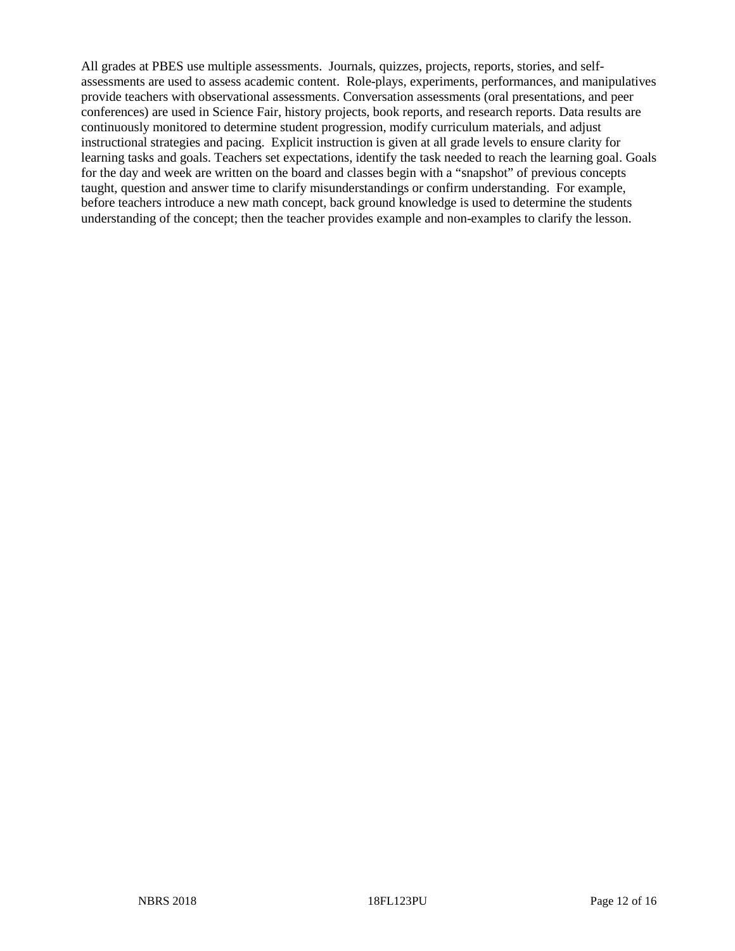All grades at PBES use multiple assessments. Journals, quizzes, projects, reports, stories, and selfassessments are used to assess academic content. Role-plays, experiments, performances, and manipulatives provide teachers with observational assessments. Conversation assessments (oral presentations, and peer conferences) are used in Science Fair, history projects, book reports, and research reports. Data results are continuously monitored to determine student progression, modify curriculum materials, and adjust instructional strategies and pacing. Explicit instruction is given at all grade levels to ensure clarity for learning tasks and goals. Teachers set expectations, identify the task needed to reach the learning goal. Goals for the day and week are written on the board and classes begin with a "snapshot" of previous concepts taught, question and answer time to clarify misunderstandings or confirm understanding. For example, before teachers introduce a new math concept, back ground knowledge is used to determine the students understanding of the concept; then the teacher provides example and non-examples to clarify the lesson.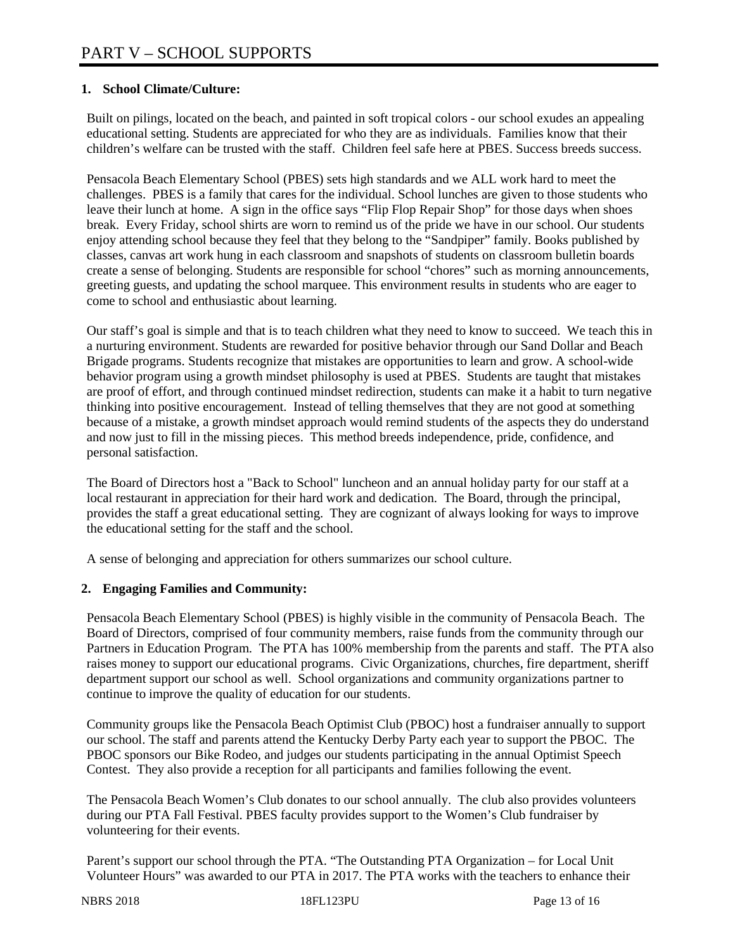## **1. School Climate/Culture:**

Built on pilings, located on the beach, and painted in soft tropical colors - our school exudes an appealing educational setting. Students are appreciated for who they are as individuals. Families know that their children's welfare can be trusted with the staff. Children feel safe here at PBES. Success breeds success.

Pensacola Beach Elementary School (PBES) sets high standards and we ALL work hard to meet the challenges. PBES is a family that cares for the individual. School lunches are given to those students who leave their lunch at home. A sign in the office says "Flip Flop Repair Shop" for those days when shoes break. Every Friday, school shirts are worn to remind us of the pride we have in our school. Our students enjoy attending school because they feel that they belong to the "Sandpiper" family. Books published by classes, canvas art work hung in each classroom and snapshots of students on classroom bulletin boards create a sense of belonging. Students are responsible for school "chores" such as morning announcements, greeting guests, and updating the school marquee. This environment results in students who are eager to come to school and enthusiastic about learning.

Our staff's goal is simple and that is to teach children what they need to know to succeed. We teach this in a nurturing environment. Students are rewarded for positive behavior through our Sand Dollar and Beach Brigade programs. Students recognize that mistakes are opportunities to learn and grow. A school-wide behavior program using a growth mindset philosophy is used at PBES. Students are taught that mistakes are proof of effort, and through continued mindset redirection, students can make it a habit to turn negative thinking into positive encouragement. Instead of telling themselves that they are not good at something because of a mistake, a growth mindset approach would remind students of the aspects they do understand and now just to fill in the missing pieces. This method breeds independence, pride, confidence, and personal satisfaction.

The Board of Directors host a "Back to School" luncheon and an annual holiday party for our staff at a local restaurant in appreciation for their hard work and dedication. The Board, through the principal, provides the staff a great educational setting. They are cognizant of always looking for ways to improve the educational setting for the staff and the school.

A sense of belonging and appreciation for others summarizes our school culture.

### **2. Engaging Families and Community:**

Pensacola Beach Elementary School (PBES) is highly visible in the community of Pensacola Beach. The Board of Directors, comprised of four community members, raise funds from the community through our Partners in Education Program. The PTA has 100% membership from the parents and staff. The PTA also raises money to support our educational programs. Civic Organizations, churches, fire department, sheriff department support our school as well. School organizations and community organizations partner to continue to improve the quality of education for our students.

Community groups like the Pensacola Beach Optimist Club (PBOC) host a fundraiser annually to support our school. The staff and parents attend the Kentucky Derby Party each year to support the PBOC. The PBOC sponsors our Bike Rodeo, and judges our students participating in the annual Optimist Speech Contest. They also provide a reception for all participants and families following the event.

The Pensacola Beach Women's Club donates to our school annually. The club also provides volunteers during our PTA Fall Festival. PBES faculty provides support to the Women's Club fundraiser by volunteering for their events.

Parent's support our school through the PTA. "The Outstanding PTA Organization – for Local Unit Volunteer Hours" was awarded to our PTA in 2017. The PTA works with the teachers to enhance their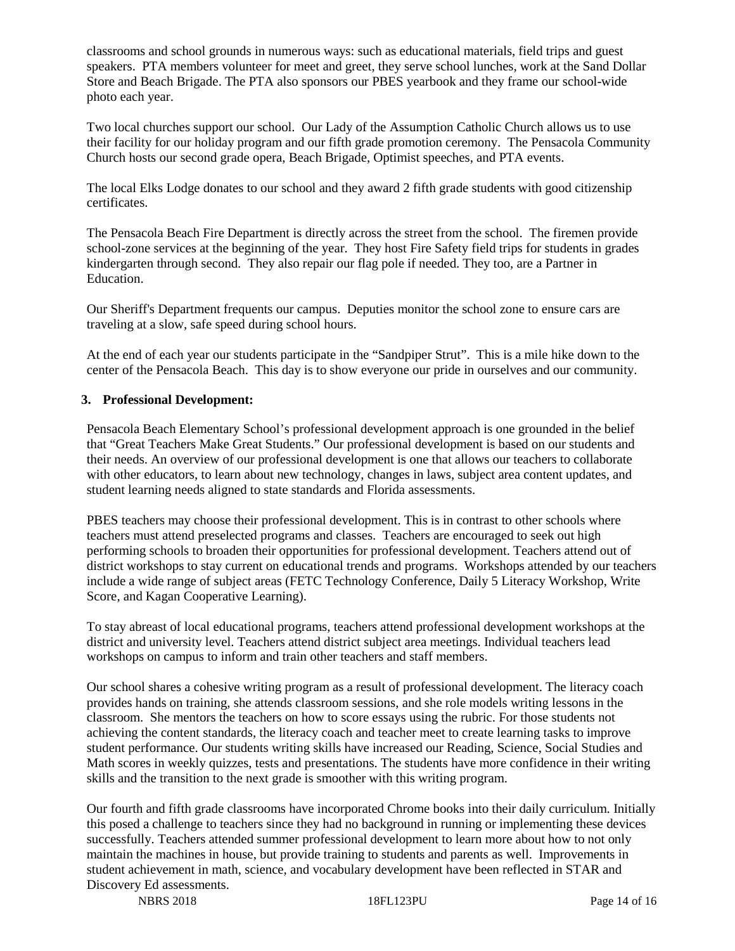classrooms and school grounds in numerous ways: such as educational materials, field trips and guest speakers. PTA members volunteer for meet and greet, they serve school lunches, work at the Sand Dollar Store and Beach Brigade. The PTA also sponsors our PBES yearbook and they frame our school-wide photo each year.

Two local churches support our school. Our Lady of the Assumption Catholic Church allows us to use their facility for our holiday program and our fifth grade promotion ceremony. The Pensacola Community Church hosts our second grade opera, Beach Brigade, Optimist speeches, and PTA events.

The local Elks Lodge donates to our school and they award 2 fifth grade students with good citizenship certificates.

The Pensacola Beach Fire Department is directly across the street from the school. The firemen provide school-zone services at the beginning of the year. They host Fire Safety field trips for students in grades kindergarten through second. They also repair our flag pole if needed. They too, are a Partner in Education.

Our Sheriff's Department frequents our campus. Deputies monitor the school zone to ensure cars are traveling at a slow, safe speed during school hours.

At the end of each year our students participate in the "Sandpiper Strut". This is a mile hike down to the center of the Pensacola Beach. This day is to show everyone our pride in ourselves and our community.

#### **3. Professional Development:**

Pensacola Beach Elementary School's professional development approach is one grounded in the belief that "Great Teachers Make Great Students." Our professional development is based on our students and their needs. An overview of our professional development is one that allows our teachers to collaborate with other educators, to learn about new technology, changes in laws, subject area content updates, and student learning needs aligned to state standards and Florida assessments.

PBES teachers may choose their professional development. This is in contrast to other schools where teachers must attend preselected programs and classes. Teachers are encouraged to seek out high performing schools to broaden their opportunities for professional development. Teachers attend out of district workshops to stay current on educational trends and programs. Workshops attended by our teachers include a wide range of subject areas (FETC Technology Conference, Daily 5 Literacy Workshop, Write Score, and Kagan Cooperative Learning).

To stay abreast of local educational programs, teachers attend professional development workshops at the district and university level. Teachers attend district subject area meetings. Individual teachers lead workshops on campus to inform and train other teachers and staff members.

Our school shares a cohesive writing program as a result of professional development. The literacy coach provides hands on training, she attends classroom sessions, and she role models writing lessons in the classroom. She mentors the teachers on how to score essays using the rubric. For those students not achieving the content standards, the literacy coach and teacher meet to create learning tasks to improve student performance. Our students writing skills have increased our Reading, Science, Social Studies and Math scores in weekly quizzes, tests and presentations. The students have more confidence in their writing skills and the transition to the next grade is smoother with this writing program.

Our fourth and fifth grade classrooms have incorporated Chrome books into their daily curriculum. Initially this posed a challenge to teachers since they had no background in running or implementing these devices successfully. Teachers attended summer professional development to learn more about how to not only maintain the machines in house, but provide training to students and parents as well. Improvements in student achievement in math, science, and vocabulary development have been reflected in STAR and Discovery Ed assessments.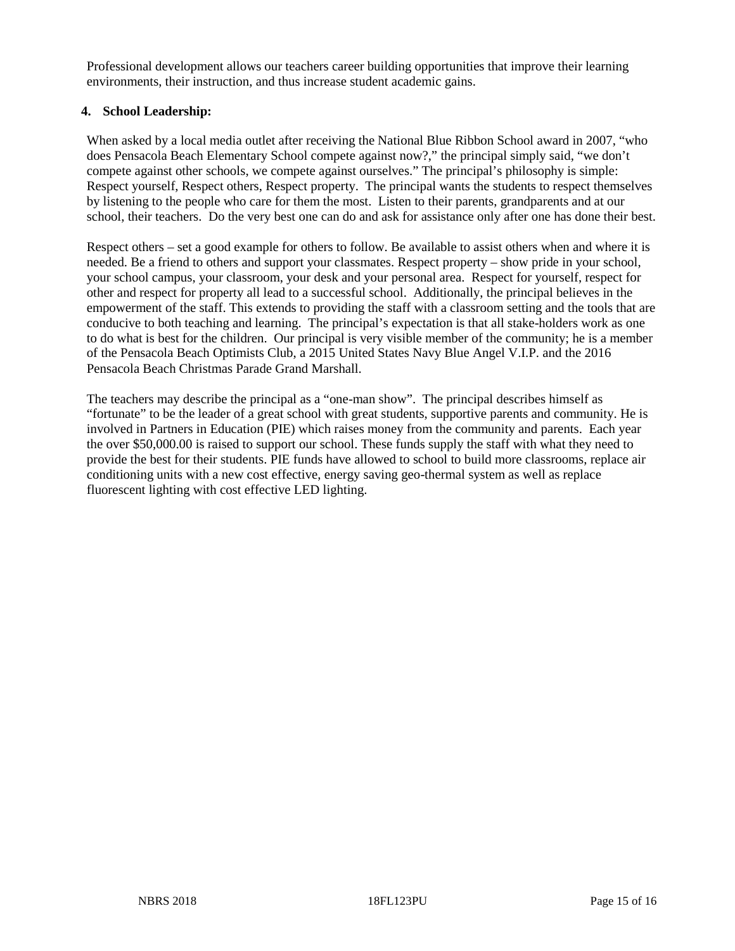Professional development allows our teachers career building opportunities that improve their learning environments, their instruction, and thus increase student academic gains.

#### **4. School Leadership:**

When asked by a local media outlet after receiving the National Blue Ribbon School award in 2007, "who does Pensacola Beach Elementary School compete against now?," the principal simply said, "we don't compete against other schools, we compete against ourselves." The principal's philosophy is simple: Respect yourself, Respect others, Respect property. The principal wants the students to respect themselves by listening to the people who care for them the most. Listen to their parents, grandparents and at our school, their teachers. Do the very best one can do and ask for assistance only after one has done their best.

Respect others – set a good example for others to follow. Be available to assist others when and where it is needed. Be a friend to others and support your classmates. Respect property – show pride in your school, your school campus, your classroom, your desk and your personal area. Respect for yourself, respect for other and respect for property all lead to a successful school. Additionally, the principal believes in the empowerment of the staff. This extends to providing the staff with a classroom setting and the tools that are conducive to both teaching and learning. The principal's expectation is that all stake-holders work as one to do what is best for the children. Our principal is very visible member of the community; he is a member of the Pensacola Beach Optimists Club, a 2015 United States Navy Blue Angel V.I.P. and the 2016 Pensacola Beach Christmas Parade Grand Marshall.

The teachers may describe the principal as a "one-man show". The principal describes himself as "fortunate" to be the leader of a great school with great students, supportive parents and community. He is involved in Partners in Education (PIE) which raises money from the community and parents. Each year the over \$50,000.00 is raised to support our school. These funds supply the staff with what they need to provide the best for their students. PIE funds have allowed to school to build more classrooms, replace air conditioning units with a new cost effective, energy saving geo-thermal system as well as replace fluorescent lighting with cost effective LED lighting.